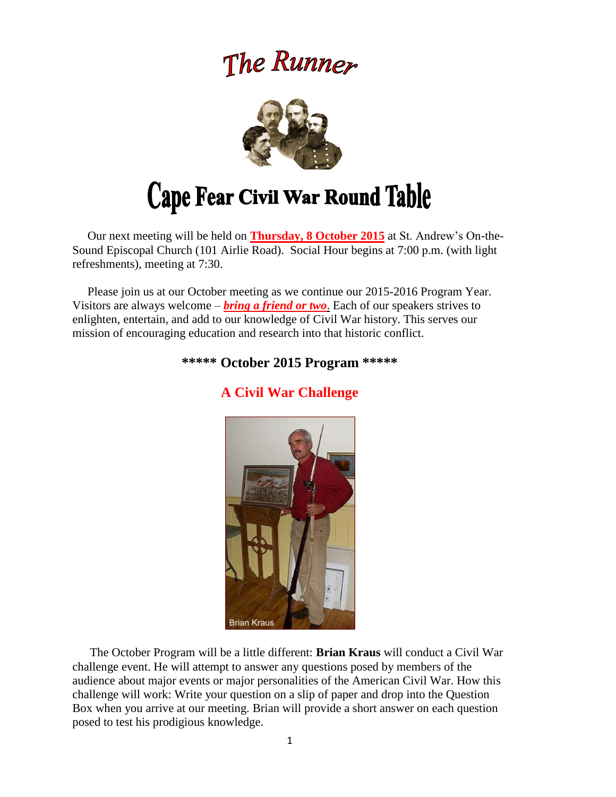## The Runner



# Cape Fear Civil War Round Table

 Our next meeting will be held on **Thursday, 8 October 2015** at St. Andrew's On-the-Sound Episcopal Church (101 Airlie Road). Social Hour begins at 7:00 p.m. (with light refreshments), meeting at 7:30.

 Please join us at our October meeting as we continue our 2015-2016 Program Year. Visitors are always welcome – *bring a friend or two*. Each of our speakers strives to enlighten, entertain, and add to our knowledge of Civil War history. This serves our mission of encouraging education and research into that historic conflict.

#### **\*\*\*\*\* October 2015 Program \*\*\*\*\***



## **A Civil War Challenge**

The October Program will be a little different: **Brian Kraus** will conduct a Civil War challenge event. He will attempt to answer any questions posed by members of the audience about major events or major personalities of the American Civil War. How this challenge will work: Write your question on a slip of paper and drop into the Question Box when you arrive at our meeting. Brian will provide a short answer on each question posed to test his prodigious knowledge.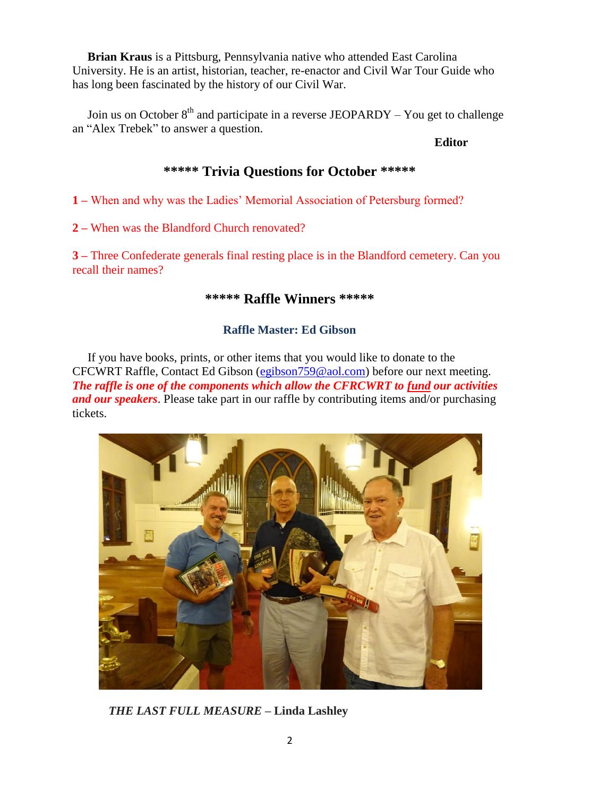**Brian Kraus** is a Pittsburg, Pennsylvania native who attended East Carolina University. He is an artist, historian, teacher, re-enactor and Civil War Tour Guide who has long been fascinated by the history of our Civil War.

Join us on October  $8<sup>th</sup>$  and participate in a reverse JEOPARDY – You get to challenge an "Alex Trebek" to answer a question.

 **Editor**

### **\*\*\*\*\* Trivia Questions for October \*\*\*\*\***

**1 –** When and why was the Ladies' Memorial Association of Petersburg formed?

**2 –** When was the Blandford Church renovated?

**3 –** Three Confederate generals final resting place is in the Blandford cemetery. Can you recall their names?

#### **\*\*\*\*\* Raffle Winners \*\*\*\*\***

#### **Raffle Master: Ed Gibson**

If you have books, prints, or other items that you would like to donate to the CFCWRT Raffle, Contact Ed Gibson [\(egibson759@aol.com\)](mailto:egibson759@aol.com) before our next meeting. *The raffle is one of the components which allow the CFRCWRT to fund our activities and our speakers*. Please take part in our raffle by contributing items and/or purchasing tickets.



*THE LAST FULL MEASURE* **– Linda Lashley**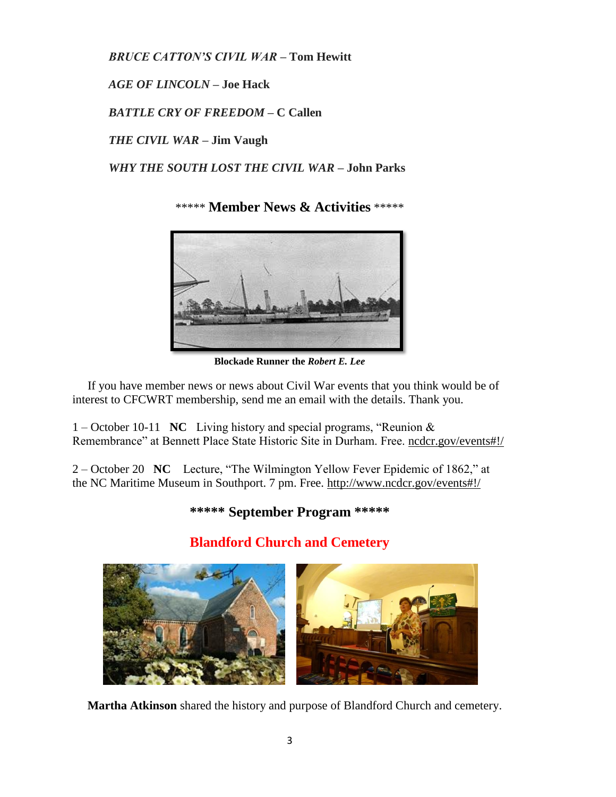*BRUCE CATTON'S CIVIL WAR* **– Tom Hewitt**

*AGE OF LINCOLN* **– Joe Hack**

*BATTLE CRY OF FREEDOM* **– C Callen**

*THE CIVIL WAR* **– Jim Vaugh**

 *WHY THE SOUTH LOST THE CIVIL WAR* **– John Parks**

\*\*\*\*\* **Member News & Activities** \*\*\*\*\*



**Blockade Runner the** *Robert E. Lee*

 If you have member news or news about Civil War events that you think would be of interest to CFCWRT membership, send me an email with the details. Thank you.

1 – October 10-11 **NC** Living history and special programs, "Reunion & Remembrance" at Bennett Place State Historic Site in Durham. Free. [ncdcr.gov/events#!/](http://www.ncdcr.gov/events#!/)

2 – October 20 **NC** Lecture, "The Wilmington Yellow Fever Epidemic of 1862," at the NC Maritime Museum in Southport. 7 pm. Free. <http://www.ncdcr.gov/events#!/>

## **\*\*\*\*\* September Program \*\*\*\*\***



## **Blandford Church and Cemetery**

 **Martha Atkinson** shared the history and purpose of Blandford Church and cemetery.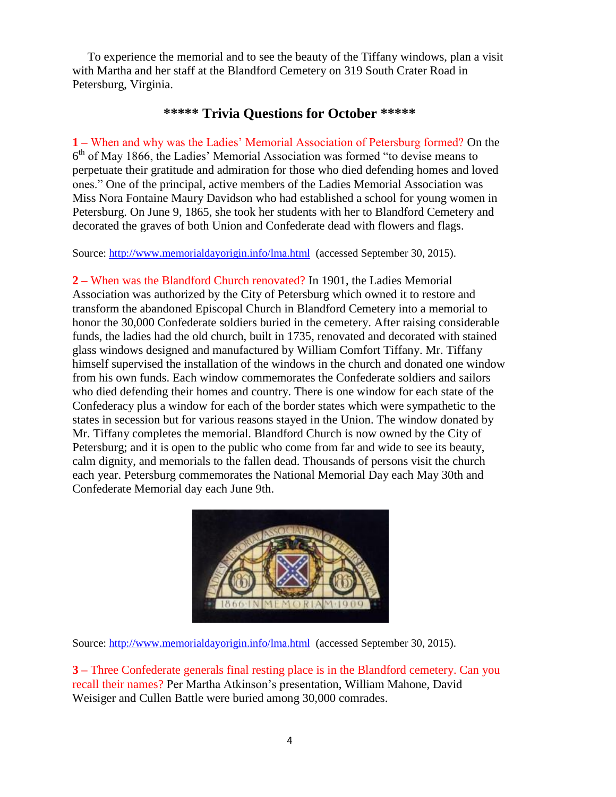To experience the memorial and to see the beauty of the Tiffany windows, plan a visit with Martha and her staff at the Blandford Cemetery on 319 South Crater Road in Petersburg, Virginia.

#### **\*\*\*\*\* Trivia Questions for October \*\*\*\*\***

**1 –** When and why was the Ladies' Memorial Association of Petersburg formed? On the 6<sup>th</sup> of May 1866, the Ladies' Memorial Association was formed "to devise means to perpetuate their gratitude and admiration for those who died defending homes and loved ones." One of the principal, active members of the Ladies Memorial Association was Miss Nora Fontaine Maury Davidson who had established a school for young women in Petersburg. On June 9, 1865, she took her students with her to Blandford Cemetery and decorated the graves of both Union and Confederate dead with flowers and flags.

Source:<http://www.memorialdayorigin.info/lma.html>(accessed September 30, 2015).

**2 –** When was the Blandford Church renovated? In 1901, the Ladies Memorial Association was authorized by the City of Petersburg which owned it to restore and transform the abandoned Episcopal Church in Blandford Cemetery into a memorial to honor the 30,000 Confederate soldiers buried in the cemetery. After raising considerable funds, the ladies had the old church, built in 1735, renovated and decorated with stained glass windows designed and manufactured by William Comfort Tiffany. Mr. Tiffany himself supervised the installation of the windows in the church and donated one window from his own funds. Each window commemorates the Confederate soldiers and sailors who died defending their homes and country. There is one window for each state of the Confederacy plus a window for each of the border states which were sympathetic to the states in secession but for various reasons stayed in the Union. The window donated by Mr. Tiffany completes the memorial. Blandford Church is now owned by the City of Petersburg; and it is open to the public who come from far and wide to see its beauty, calm dignity, and memorials to the fallen dead. Thousands of persons visit the church each year. Petersburg commemorates the National Memorial Day each May 30th and Confederate Memorial day each June 9th.



Source:<http://www.memorialdayorigin.info/lma.html>(accessed September 30, 2015).

**3 –** Three Confederate generals final resting place is in the Blandford cemetery. Can you recall their names? Per Martha Atkinson's presentation, William Mahone, David Weisiger and Cullen Battle were buried among 30,000 comrades.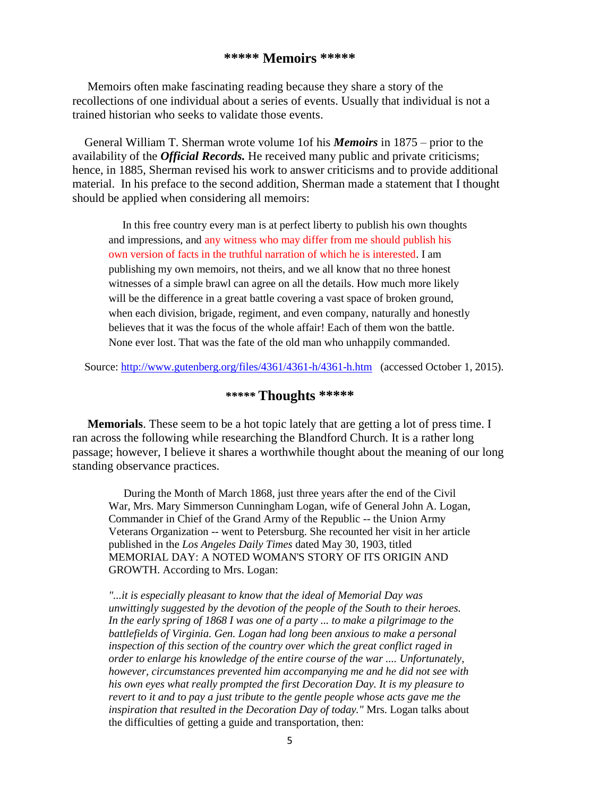#### **\*\*\*\*\* Memoirs \*\*\*\*\***

Memoirs often make fascinating reading because they share a story of the recollections of one individual about a series of events. Usually that individual is not a trained historian who seeks to validate those events.

General William T. Sherman wrote volume 1of his *Memoirs* in 1875 – prior to the availability of the *Official Records.* He received many public and private criticisms; hence, in 1885, Sherman revised his work to answer criticisms and to provide additional material. In his preface to the second addition, Sherman made a statement that I thought should be applied when considering all memoirs:

In this free country every man is at perfect liberty to publish his own thoughts and impressions, and any witness who may differ from me should publish his own version of facts in the truthful narration of which he is interested. I am publishing my own memoirs, not theirs, and we all know that no three honest witnesses of a simple brawl can agree on all the details. How much more likely will be the difference in a great battle covering a vast space of broken ground, when each division, brigade, regiment, and even company, naturally and honestly believes that it was the focus of the whole affair! Each of them won the battle. None ever lost. That was the fate of the old man who unhappily commanded.

Source: <http://www.gutenberg.org/files/4361/4361-h/4361-h.htm> (accessed October 1, 2015).

#### *\*\*\*\*\** **Thoughts \*\*\*\*\***

 **Memorials**. These seem to be a hot topic lately that are getting a lot of press time. I ran across the following while researching the Blandford Church. It is a rather long passage; however, I believe it shares a worthwhile thought about the meaning of our long standing observance practices.

 During the Month of March 1868, just three years after the end of the Civil War, Mrs. Mary Simmerson Cunningham Logan, wife of General John A. Logan, Commander in Chief of the Grand Army of the Republic -- the Union Army Veterans Organization -- went to Petersburg. She recounted her visit in her article published in the *Los Angeles Daily Times* dated May 30, 1903, titled MEMORIAL DAY: A NOTED WOMAN'S STORY OF ITS ORIGIN AND GROWTH. According to Mrs. Logan:

*"...it is especially pleasant to know that the ideal of Memorial Day was unwittingly suggested by the devotion of the people of the South to their heroes. In the early spring of 1868 I was one of a party ... to make a pilgrimage to the*  battlefields of Virginia. Gen. Logan had long been anxious to make a personal *inspection of this section of the country over which the great conflict raged in order to enlarge his knowledge of the entire course of the war .... Unfortunately, however, circumstances prevented him accompanying me and he did not see with his own eyes what really prompted the first Decoration Day. It is my pleasure to revert to it and to pay a just tribute to the gentle people whose acts gave me the inspiration that resulted in the Decoration Day of today."* Mrs. Logan talks about the difficulties of getting a guide and transportation, then: